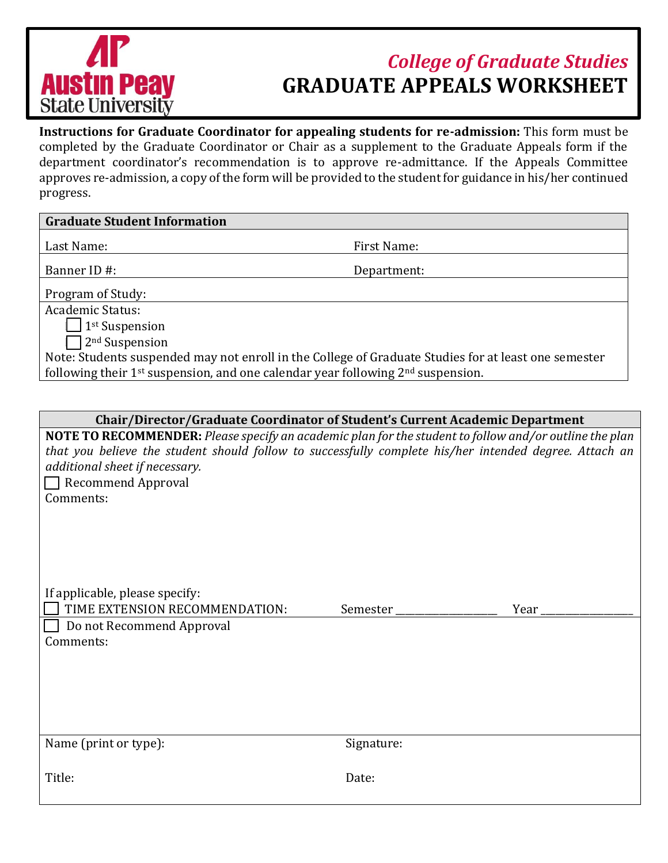

## *College of Graduate Studies* **GRADUATE APPEALS WORKSHEET**

**Instructions for Graduate Coordinator for appealing students for re-admission:** This form must be completed by the Graduate Coordinator or Chair as a supplement to the Graduate Appeals form if the department coordinator's recommendation is to approve re-admittance. If the Appeals Committee approves re-admission, a copy of the form will be provided to the student for guidance in his/her continued progress.

## **Graduate Student Information**

Last Name: The Contract of the Pirst Name: First Name:

Banner ID #: Department:

Program of Study:

Academic Status:

 $\vert$  | 1<sup>st</sup> Suspension

 $\Box$  2<sup>nd</sup> Suspension

Note: Students suspended may not enroll in the College of Graduate Studies for at least one semester following their  $1<sup>st</sup>$  suspension, and one calendar year following  $2<sup>nd</sup>$  suspension.

| Chair/Director/Graduate Coordinator of Student's Current Academic Department                           |
|--------------------------------------------------------------------------------------------------------|
| $\Gamma$ TO DECOMMENDED, places specify an academic plan for the student to follow and (or outline the |

**NOTE TO RECOMMENDER:** *Please specify an academic plan for the student to follow and/or outline the plan that you believe the student should follow to successfully complete his/her intended degree. Attach an additional sheet if necessary.* 

Recommend Approval Comments:

| If applicable, please specify:        |          |      |
|---------------------------------------|----------|------|
| $\Box$ TIME EXTENSION RECOMMENDATION: | Semester | Year |
| $\Box$ Do not Recommend Approval      |          |      |
| Comments:                             |          |      |
|                                       |          |      |
|                                       |          |      |
|                                       |          |      |

Name (print or type): Signature:

Title: Date: